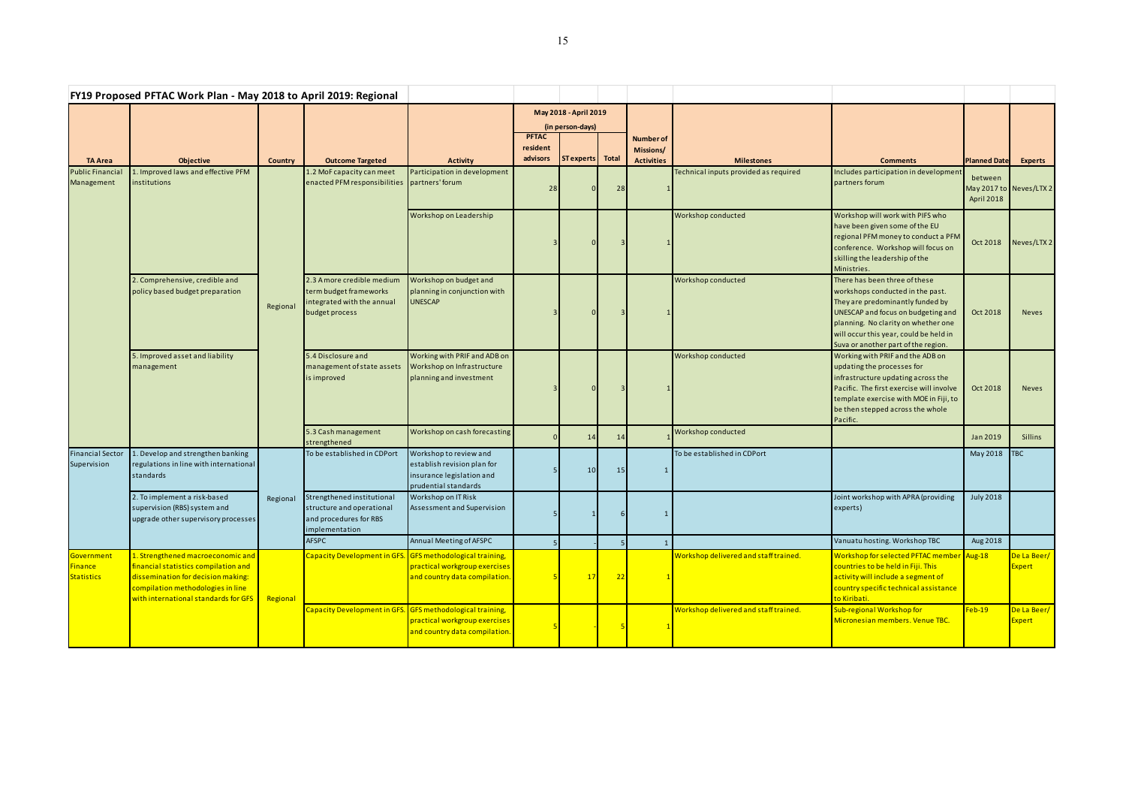|                                            | FY19 Proposed PFTAC Work Plan - May 2018 to April 2019: Regional                                                                                                                             |                |                                                                                                     |                                                                                                                             |                                                           |            |           |                               |                                       |                                                                                                                                                                                                                                                                            |                       |                              |
|--------------------------------------------|----------------------------------------------------------------------------------------------------------------------------------------------------------------------------------------------|----------------|-----------------------------------------------------------------------------------------------------|-----------------------------------------------------------------------------------------------------------------------------|-----------------------------------------------------------|------------|-----------|-------------------------------|---------------------------------------|----------------------------------------------------------------------------------------------------------------------------------------------------------------------------------------------------------------------------------------------------------------------------|-----------------------|------------------------------|
|                                            |                                                                                                                                                                                              |                |                                                                                                     |                                                                                                                             | May 2018 - April 2019<br>(in person-days)<br><b>PFTAC</b> |            |           |                               |                                       |                                                                                                                                                                                                                                                                            |                       |                              |
|                                            |                                                                                                                                                                                              |                |                                                                                                     |                                                                                                                             | resident                                                  |            |           | <b>Number of</b><br>Missions/ |                                       |                                                                                                                                                                                                                                                                            |                       |                              |
| <b>TA Area</b>                             | <b>Objective</b>                                                                                                                                                                             | <b>Country</b> | <b>Outcome Targeted</b>                                                                             | <b>Activity</b>                                                                                                             | advisors                                                  | ST experts | Total     | <b>Activities</b>             | <b>Milestones</b>                     | <b>Comments</b>                                                                                                                                                                                                                                                            | <b>Planned Date</b>   | <b>Experts</b>               |
| Public Financial<br>Management             | L. Improved laws and effective PFM<br>institutions                                                                                                                                           | Regional       | 1.2 MoF capacity can meet<br>enacted PFM responsibilities partners' forum                           | Participation in development                                                                                                | 28                                                        |            | 28        |                               | Technical inputs provided as required | Includes participation in development<br>partners forum                                                                                                                                                                                                                    | between<br>April 2018 | May 2017 to Neves/LTX 2      |
|                                            |                                                                                                                                                                                              |                |                                                                                                     | Workshop on Leadership                                                                                                      |                                                           |            |           |                               | <b>Workshop conducted</b>             | Workshop will work with PIFS who<br>have been given some of the EU<br>regional PFM money to conduct a PFM<br>conference. Workshop will focus on<br>skilling the leadership of the<br>Ministries.                                                                           | Oct 2018              | Neves/LTX 2                  |
|                                            | 2. Comprehensive, credible and<br>policy based budget preparation                                                                                                                            |                | 2.3 A more credible medium<br>term budget frameworks<br>ntegrated with the annual<br>budget process | Workshop on budget and<br>planning in conjunction with<br><b>UNESCAP</b>                                                    |                                                           |            |           |                               | Workshop conducted                    | There has been three of these<br>workshops conducted in the past.<br>They are predominantly funded by<br><b>UNESCAP</b> and focus on budgeting and<br>planning. No clarity on whether one<br>will occur this year, could be held in<br>Suva or another part of the region. | Oct 2018              | <b>Neves</b>                 |
|                                            | 5. Improved asset and liability<br>management                                                                                                                                                |                | 5.4 Disclosure and<br>management of state assets<br>is improved                                     | Working with PRIF and ADB on<br>Workshop on Infrastructure<br>planning and investment                                       |                                                           |            |           |                               | Workshop conducted                    | Working with PRIF and the ADB on<br>updating the processes for<br>infrastructure updating across the<br>Pacific. The first exercise will involve<br>template exercise with MOE in Fiji, to<br>be then stepped across the whole<br>Pacific.                                 | Oct 2018              | <b>Neves</b>                 |
|                                            |                                                                                                                                                                                              |                | 5.3 Cash management<br>strengthened                                                                 | Workshop on cash forecasting                                                                                                |                                                           | 14         | 14        |                               | <b>Workshop conducted</b>             |                                                                                                                                                                                                                                                                            | Jan 2019              | Sillins                      |
| <b>Financial Sector</b><br>Supervision     | 1. Develop and strengthen banking<br>regulations in line with international<br>standards                                                                                                     | Regional       | To be established in CDPort                                                                         | Workshop to review and<br>establish revision plan for<br>insurance legislation and<br>prudential standards                  |                                                           | 10         | <b>15</b> |                               | To be established in CDPort           |                                                                                                                                                                                                                                                                            | May 2018              | <b>TBC</b>                   |
|                                            | 2. To implement a risk-based<br>supervision (RBS) system and<br>upgrade other supervisory processes                                                                                          |                | Strengthened institutional<br>structure and operational<br>and procedures for RBS<br>implementation | Workshop on IT Risk<br>Assessment and Supervision                                                                           |                                                           |            |           |                               |                                       | Joint workshop with APRA (providing<br>experts)                                                                                                                                                                                                                            | <b>July 2018</b>      |                              |
|                                            |                                                                                                                                                                                              |                | <b>AFSPC</b>                                                                                        | Annual Meeting of AFSPC                                                                                                     |                                                           |            |           |                               |                                       | Vanuatu hosting. Workshop TBC                                                                                                                                                                                                                                              | Aug 2018              |                              |
| Government<br>Finance<br><b>Statistics</b> | 1. Strengthened macroeconomic and<br>financial statistics compilation and<br>dissemination for decision making:<br>compilation methodologies in line<br>with international standards for GFS | Regional       | Capacity Development in GFS. GFS methodological training,                                           | practical workgroup exercises<br>and country data compilation.                                                              |                                                           | 17         | 22        |                               | Workshop delivered and staff trained. | Workshop for selected PFTAC member Aug-18<br>countries to be held in Fiji. This<br>activity will include a segment of<br>country specific technical assistance<br><mark>to Kiribati.</mark>                                                                                |                       | De La Beer/<br><b>Expert</b> |
|                                            |                                                                                                                                                                                              |                |                                                                                                     | Capacity Development in GFS. GFS methodological training,<br>practical workgroup exercises<br>and country data compilation. |                                                           |            |           |                               | Workshop delivered and staff trained. | Sub-regional Workshop for<br>Micronesian members. Venue TBC.                                                                                                                                                                                                               | $Feb-19$              | De La Beer/<br><b>Expert</b> |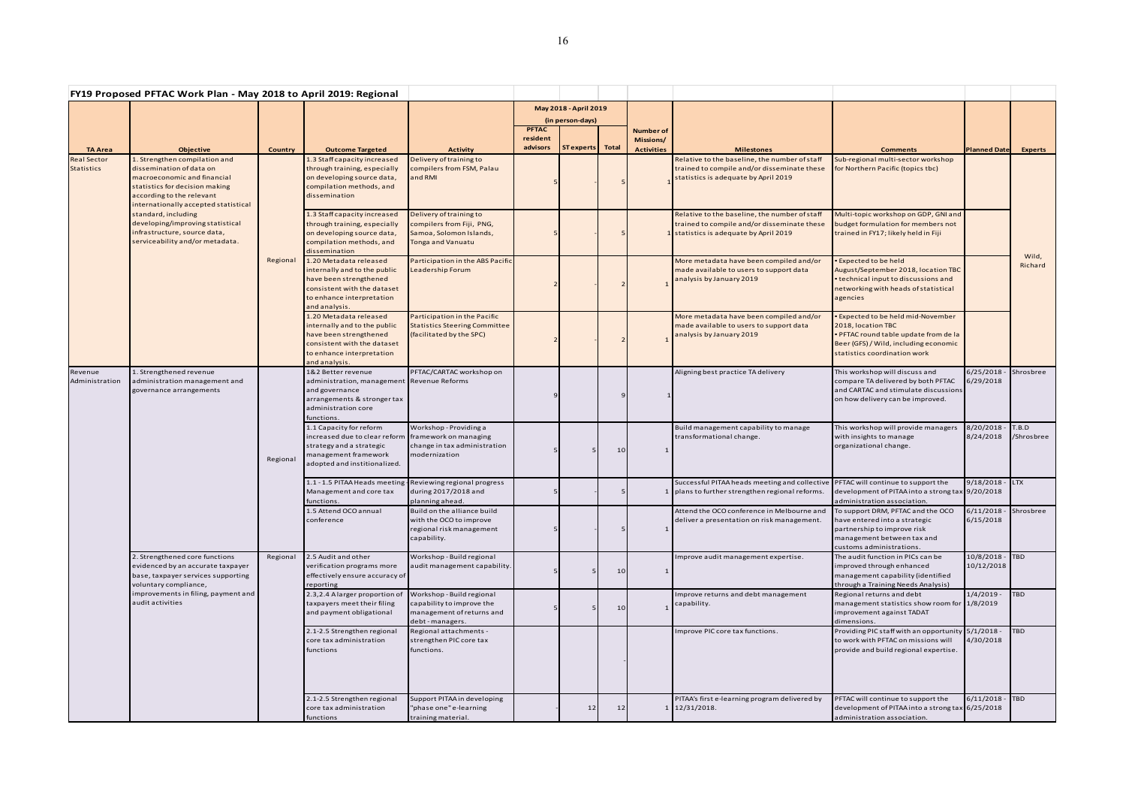|                                  | FY19 Proposed PFTAC Work Plan - May 2018 to April 2019: Regional                                                                                                                                                                                                                                                              |          |                                                                                                                                                                    |                                                                                                             |                                           |                   |       |                                                    |                                                                                                                                        |                                                                                                                                                                          |                                            |                     |
|----------------------------------|-------------------------------------------------------------------------------------------------------------------------------------------------------------------------------------------------------------------------------------------------------------------------------------------------------------------------------|----------|--------------------------------------------------------------------------------------------------------------------------------------------------------------------|-------------------------------------------------------------------------------------------------------------|-------------------------------------------|-------------------|-------|----------------------------------------------------|----------------------------------------------------------------------------------------------------------------------------------------|--------------------------------------------------------------------------------------------------------------------------------------------------------------------------|--------------------------------------------|---------------------|
|                                  |                                                                                                                                                                                                                                                                                                                               |          |                                                                                                                                                                    |                                                                                                             | May 2018 - April 2019<br>(in person-days) |                   |       |                                                    |                                                                                                                                        |                                                                                                                                                                          |                                            |                     |
| <b>TA Area</b>                   | <b>Objective</b>                                                                                                                                                                                                                                                                                                              | Country  | <b>Outcome Targeted</b>                                                                                                                                            | <b>Activity</b>                                                                                             | <b>PFTAC</b><br>resident<br>advisors      | <b>ST</b> experts | Total | <b>Number of</b><br>Missions/<br><b>Activities</b> | <b>Milestones</b>                                                                                                                      | <b>Comments</b>                                                                                                                                                          | <b>Planned Date</b>                        | Experts             |
| <b>Real Sector</b><br>Statistics | 1. Strengthen compilation and<br>dissemination of data on<br>macroeconomic and financial<br>statistics for decision making<br>according to the relevant<br>internationally accepted statistical<br>standard, including<br>developing/improving statistical<br>infrastructure, source data,<br>serviceability and/or metadata. | Regional | 1.3 Staff capacity increased<br>through training, especially<br>on developing source data,<br>compilation methods, and<br>dissemination                            | Delivery of training to<br>compilers from FSM, Palau<br>and RMI                                             |                                           |                   |       |                                                    | Relative to the baseline, the number of staff<br>trained to compile and/or disseminate these<br>statistics is adequate by April 2019   | Sub-regional multi-sector workshop<br>for Northern Pacific (topics tbc)                                                                                                  |                                            | Wild,<br>Richard    |
|                                  |                                                                                                                                                                                                                                                                                                                               |          | 1.3 Staff capacity increased<br>through training, especially<br>on developing source data,<br>compilation methods, and<br>dissemination                            | Delivery of training to<br>compilers from Fiji, PNG,<br>Samoa, Solomon Islands,<br><b>Tonga and Vanuatu</b> |                                           |                   |       |                                                    | Relative to the baseline, the number of staff<br>trained to compile and/or disseminate these<br>1 statistics is adequate by April 2019 | Multi-topic workshop on GDP, GNI and<br>budget formulation for members not<br>trained in FY17; likely held in Fiji                                                       |                                            |                     |
|                                  |                                                                                                                                                                                                                                                                                                                               |          | 1.20 Metadata released<br>internally and to the public<br>have been strengthened<br>consistent with the dataset<br>to enhance interpretation<br>and analysis.      | Participation in the ABS Pacific<br>Leadership Forum                                                        |                                           |                   |       |                                                    | More metadata have been compiled and/or<br>made available to users to support data<br>analysis by January 2019                         | . Expected to be held<br>August/September 2018, location TBC<br>• technical input to discussions and<br>networking with heads of statistical<br>agencies                 |                                            |                     |
|                                  |                                                                                                                                                                                                                                                                                                                               |          | 1.20 Metadata released<br>internally and to the public<br>have been strengthened<br>consistent with the dataset<br>to enhance interpretation<br>and analysis.      | Participation in the Pacific<br><b>Statistics Steering Committee</b><br>(facilitated by the SPC)            |                                           |                   |       |                                                    | More metadata have been compiled and/or<br>made available to users to support data<br>analysis by January 2019                         | Expected to be held mid-November<br>2018, location TBC<br>. PFTAC round table update from de la<br>Beer (GFS) / Wild, including economic<br>statistics coordination work |                                            |                     |
| Revenue<br>Administration        | 1. Strengthened revenue<br>administration management and<br>governance arrangements                                                                                                                                                                                                                                           | Regional | 1&2 Better revenue<br>administration, management Revenue Reforms<br>and governance<br>arrangements & stronger tax<br>administration core<br>functions.             | PFTAC/CARTAC workshop on                                                                                    |                                           |                   |       |                                                    | Aligning best practice TA delivery                                                                                                     | This workshop will discuss and<br>compare TA delivered by both PFTAC<br>and CARTAC and stimulate discussions<br>on how delivery can be improved.                         | 6/25/2018<br>6/29/2018                     | Shrosbree           |
|                                  |                                                                                                                                                                                                                                                                                                                               |          | 1.1 Capacity for reform<br>increased due to clear reform framework on managing<br>strategy and a strategic<br>management framework<br>adopted and institionalized. | Workshop - Providing a<br>change in tax administration<br>modernization                                     |                                           |                   | 10    |                                                    | Build management capability to manage<br>transformational change.                                                                      | This workshop will provide managers<br>with insights to manage<br>organizational change.                                                                                 | 8/20/2018<br>8/24/2018                     | T.B.D<br>/Shrosbree |
|                                  |                                                                                                                                                                                                                                                                                                                               |          | 1.1 - 1.5 PITAA Heads meeting - Reviewing regional progress<br>Management and core tax<br>functions.                                                               | during 2017/2018 and<br>planning ahead.                                                                     |                                           |                   |       |                                                    | Successful PITAA heads meeting and collective PFTAC will continue to support the<br>1 plans to further strengthen regional reforms.    | development of PITAA into a strong tax 9/20/2018<br>administration association.                                                                                          | 9/18/2018                                  | <b>LTX</b>          |
|                                  |                                                                                                                                                                                                                                                                                                                               |          | 1.5 Attend OCO annual<br>conference                                                                                                                                | Build on the alliance build<br>with the OCO to improve<br>regional risk management<br>capability.           |                                           |                   |       |                                                    | Attend the OCO conference in Melbourne and<br>deliver a presentation on risk management.                                               | To support DRM, PFTAC and the OCO<br>have entered into a strategic<br>partnership to improve risk<br>management between tax and<br>customs administrations.              | $6/11/2018$ - Shrosbree<br>6/15/2018       |                     |
|                                  | 2. Strengthened core functions<br>evidenced by an accurate taxpayer<br>base, taxpayer services supporting<br>voluntary compliance,<br>improvements in filing, payment and<br>audit activities                                                                                                                                 | Regional | 2.5 Audit and other<br>verification programs more<br>effectively ensure accuracy of<br>reporting                                                                   | Workshop - Build regional<br>audit management capability.                                                   |                                           |                   | 10    |                                                    | Improve audit management expertise.                                                                                                    | The audit function in PICs can be<br>improved through enhanced<br>management capability (identified<br>through a Training Needs Analysis)                                | $10/8/2018 - \overline{TBD}$<br>10/12/2018 |                     |
|                                  |                                                                                                                                                                                                                                                                                                                               |          | 2.3,2.4 A larger proportion of<br>taxpayers meet their filing<br>and payment obligational                                                                          | Workshop - Build regional<br>capability to improve the<br>management of returns and<br>debt - managers.     |                                           |                   | 10    |                                                    | Improve returns and debt management<br>capability.                                                                                     | Regional returns and debt<br>management statistics show room for 1/8/2019<br>improvement against TADAT<br>dimensions.                                                    | $1/4/2019$ -                               | <b>TBD</b>          |
|                                  |                                                                                                                                                                                                                                                                                                                               |          | 2.1-2.5 Strengthen regional<br>core tax administration<br>functions                                                                                                | Regional attachments -<br>strengthen PIC core tax<br>functions.                                             |                                           |                   |       |                                                    | Improve PIC core tax functions.                                                                                                        | Providing PIC staff with an opportunity 5/1/2018 -<br>to work with PFTAC on missions will<br>provide and build regional expertise.                                       | 4/30/2018                                  | <b>TBD</b>          |
|                                  |                                                                                                                                                                                                                                                                                                                               |          | 2.1-2.5 Strengthen regional<br>core tax administration<br>functions                                                                                                | Support PITAA in developing<br>"phase one" e-learning<br>training material.                                 |                                           | 12                | 12    |                                                    | PITAA's first e-learning program delivered by<br>1 12/31/2018.                                                                         | PFTAC will continue to support the<br>development of PITAA into a strong tax 6/25/2018<br>administration association.                                                    | $6/11/2018$ -                              | <b>TBD</b>          |